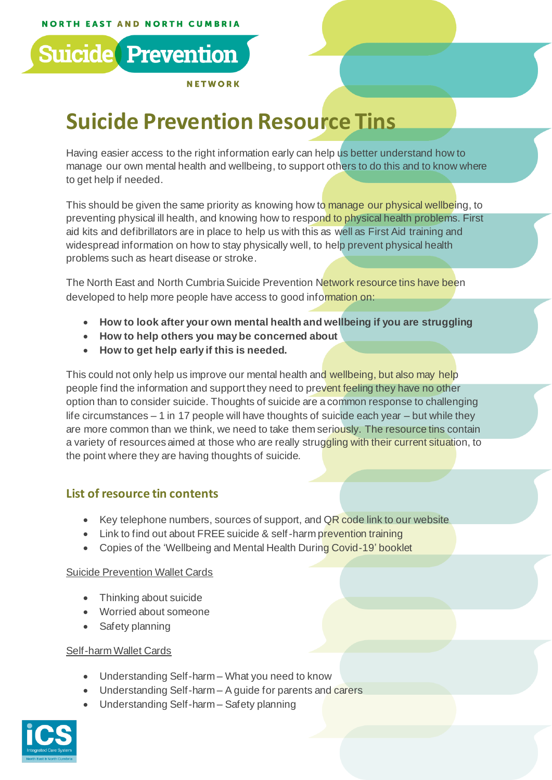

**NETWORK** 

# **Suicide Prevention Resource Tins**

Having easier access to the right information early can help us better understand how to manage our own mental health and wellbeing, to support others to do this and to know where to get help if needed.

This should be given the same priority as knowing how to manage our physical wellbeing, to preventing physical ill health, and knowing how to respond to physical health problems. First aid kits and defibrillators are in place to help us with this as well as First Aid training and widespread information on how to stay physically well, to help prevent physical health problems such as heart disease or stroke.

The North East and North Cumbria Suicide Prevention Network resource tins have been developed to help more people have access to good information on:

- **How to look after your own mental health and wellbeing if you are struggling**
- **How to help others you may be concerned about**
- **How to get help early if this is needed.**

This could not only help us improve our mental health and wellbeing, but also may help people find the information and support they need to prevent feeling they have no other option than to consider suicide. Thoughts of suicide are a common response to challenging life circumstances – 1 in 17 people will have thoughts of suicide each year – but while they are more common than we think, we need to take them seriously. The resource tins contain a variety of resources aimed at those who are really struggling with their current situation, to the point where they are having thoughts of suicide.

# **List of resource tin contents**

- Key telephone numbers, sources of support, and  $QR$  code link to our website
- Link to find out about FREE suicide & self-harm prevention training
- Copies of the 'Wellbeing and Mental Health During Covid-19' booklet

#### Suicide Prevention Wallet Cards

- Thinking about suicide
- Worried about someone
- Safety planning

#### Self-harm Wallet Cards

- Understanding Self-harm What you need to know
- Understanding Self-harm A guide for parents and carers
- Understanding Self-harm Safety planning

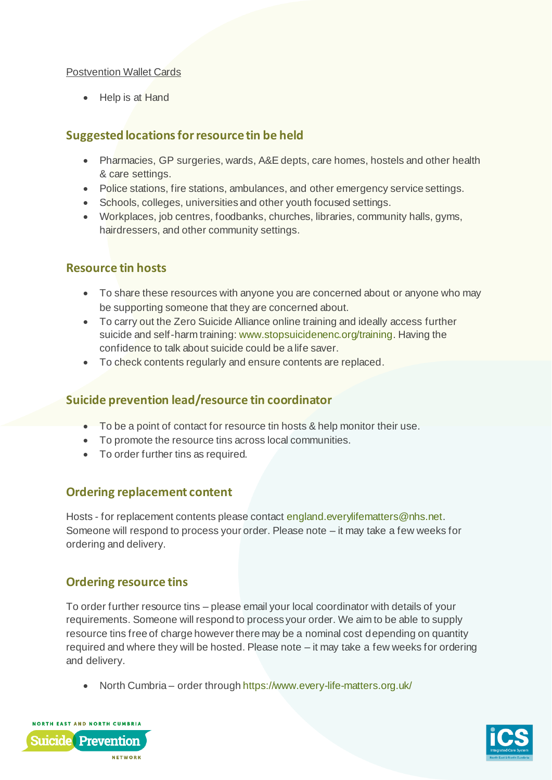#### Postvention Wallet Cards

• Help is at Hand

## **Suggested locationsfor resourcetin be held**

- Pharmacies, GP surgeries, wards, A&E depts, care homes, hostels and other health & care settings.
- Police stations, fire stations, ambulances, and other emergency service settings.
- Schools, colleges, universities and other youth focused settings.
- Workplaces, job centres, foodbanks, churches, libraries, community halls, gyms, hairdressers, and other community settings.

## **Resource tin hosts**

- To share these resources with anyone you are concerned about or anyone who may be supporting someone that they are concerned about.
- To carry out the Zero Suicide Alliance online training and ideally access further suicide and self-harm training: [www.stopsuicidenenc.org/training](http://www.stopsuicidenenc.org/training). Having the confidence to talk about suicide could be a life saver.
- To check contents regularly and ensure contents are replaced.

## **Suicide prevention lead/resource tin coordinator**

- To be a point of contact for resource tin hosts & help monitor their use.
- To promote the resource tins across local communities.
- To order further tins as required.

## **Ordering replacement content**

Hosts - for replacement contents please contac[t england.everylifematters@nhs.net](mailto:england.everylifematters@nhs.net). Someone will respond to process your order. Please note – it may take a few weeks for ordering and delivery.

## **Ordering resource tins**

To order further resource tins – please email your local coordinator with details of your requirements. Someone will respond to process your order. We aim to be able to supply resource tins free of charge however there may be a nominal cost depending on quantity required and where they will be hosted. Please note – it may take a few weeks for ordering and delivery.

• North Cumbria – order throug[h https://www.every-life-matters.org.uk/](https://www.every-life-matters.org.uk/)